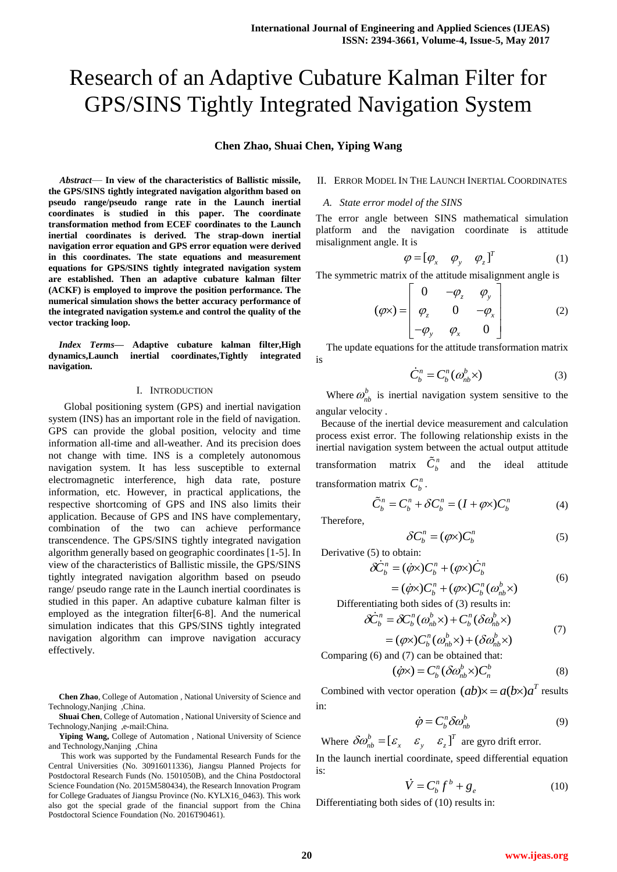# Research of an Adaptive Cubature Kalman Filter for GPS/SINS Tightly Integrated Navigation System

**Chen Zhao, Shuai Chen, Yiping Wang**

*Abstract*— **In view of the characteristics of Ballistic missile, the GPS/SINS tightly integrated navigation algorithm based on pseudo range/pseudo range rate in the Launch inertial coordinates is studied in this paper. The coordinate transformation method from ECEF coordinates to the Launch inertial coordinates is derived. The strap-down inertial navigation error equation and GPS error equation were derived in this coordinates. The state equations and measurement equations for GPS/SINS tightly integrated navigation system are established. Then an adaptive cubature kalman filter (ACKF) is employed to improve the position performance. The numerical simulation shows the better accuracy performance of the integrated navigation system.e and control the quality of the vector tracking loop.**

*Index Terms***— Adaptive cubature kalman filter,High dynamics,Launch inertial coordinates,Tightly integrated navigation.**

## I. INTRODUCTION

 Global positioning system (GPS) and inertial navigation system (INS) has an important role in the field of navigation. GPS can provide the global position, velocity and time information all-time and all-weather. And its precision does not change with time. INS is a completely autonomous navigation system. It has less susceptible to external electromagnetic interference, high data rate, posture information, etc. However, in practical applications, the respective shortcoming of GPS and INS also limits their application. Because of GPS and INS have complementary, combination of the two can achieve performance transcendence. The GPS/SINS tightly integrated navigation algorithm generally based on geographic coordinates [1-5]. In view of the characteristics of Ballistic missile, the GPS/SINS tightly integrated navigation algorithm based on pseudo range/ pseudo range rate in the Launch inertial coordinates is studied in this paper. An adaptive cubature kalman filter is employed as the integration filter[6-8]. And the numerical simulation indicates that this GPS/SINS tightly integrated navigation algorithm can improve navigation accuracy effectively.

**Chen Zhao**, College of Automation , National University of Science and Technology,Nanjing ,China.

**Shuai Chen**, College of Automation , National University of Science and Technology,Nanjing ,e-mail:China.

**Yiping Wang,** College of Automation , National University of Science and Technology,Nanjing ,China

This work was supported by the Fundamental Research Funds for the Central Universities (No. 30916011336), Jiangsu Planned Projects for Postdoctoral Research Funds (No. 1501050B), and the China Postdoctoral Science Foundation (No. 2015M580434), the Research Innovation Program for College Graduates of Jiangsu Province (No. KYLX16\_0463). This work also got the special grade of the financial support from the China Postdoctoral Science Foundation (No. 2016T90461).

## II. ERROR MODEL IN THE LAUNCH INERTIAL COORDINATES

*A. State error model of the SINS*

The error angle between SINS mathematical simulation platform and the navigation coordinate is attitude misalignment angle. It is

$$
\varphi = [\varphi_x \quad \varphi_y \quad \varphi_z]^T \tag{1}
$$

The symmetric matrix of the attitude misalignment angle is<br>  $\begin{bmatrix} 0 & -\varphi_z & \varphi_y \end{bmatrix}$ 

$$
(\varphi \times) = \begin{bmatrix} 0 & -\varphi_z & \varphi_y \\ \varphi_z & 0 & -\varphi_x \\ -\varphi_y & \varphi_x & 0 \end{bmatrix}
$$
 (2)

 The update equations for the attitude transformation matrix is

$$
\dot{C}_b^n = C_b^n(\omega_{nb}^b \times)
$$
 (3)

Where  $\omega_{nb}^{b}$  is inertial navigation system sensitive to the angular velocity .

 Because of the inertial device measurement and calculation process exist error. The following relationship exists in the inertial navigation system between the actual output attitude transformation matrix  $\tilde{C}_b^n$  and the ideal attitude transformation matrix  $C_b^n$ .

$$
\tilde{C}_b^n = C_b^n + \delta C_b^n = (I + \varphi \times)C_b^n \tag{4}
$$

Therefore,

$$
\delta C_b^n = (\varphi \times) C_b^n \tag{5}
$$

Derivative (5) to obtain:

$$
\delta \dot{C}_b^n = (\dot{\varphi} \times) C_b^n + (\varphi \times) \dot{C}_b^n
$$
\n(6)

 $= (\dot{\varphi} \times) C_b^n + (\varphi \times) C_b^n (\omega_{nb}^b \times)$ *nb n b n*  $(\dot{\varphi} \times)C_b^n + (\varphi \times)C_b^n(\omega)$ 

Differentiating both sides of (3) results in:

$$
\delta \dot{C}_b^n = \delta C_b^n (\omega_{nb}^b \times) + C_b^n (\delta \omega_{nb}^b \times)
$$
  
=  $(\varphi \times) C_b^n (\omega_{nb}^b \times) + (\delta \omega_{nb}^b \times)$  (7)

Comparing (6) and (7) can be obtained that:

$$
(\dot{\varphi} \times) = C_b^n (\delta \omega_{nb}^b \times) C_n^b \tag{8}
$$

Combined with vector operation  $(ab) \times = a(b \times)a^T$  results in:

$$
\dot{\varphi} = C_b^n \delta \omega_{nb}^b \tag{9}
$$

Where 
$$
\delta \omega_{nb}^{b} = [\varepsilon_{x} \quad \varepsilon_{y} \quad \varepsilon_{z}]^{T}
$$
 are gyro drift error.

In the launch inertial coordinate, speed differential equation is:

$$
\dot{V} = C_b^n f^b + g_e \tag{10}
$$

Differentiating both sides of (10) results in: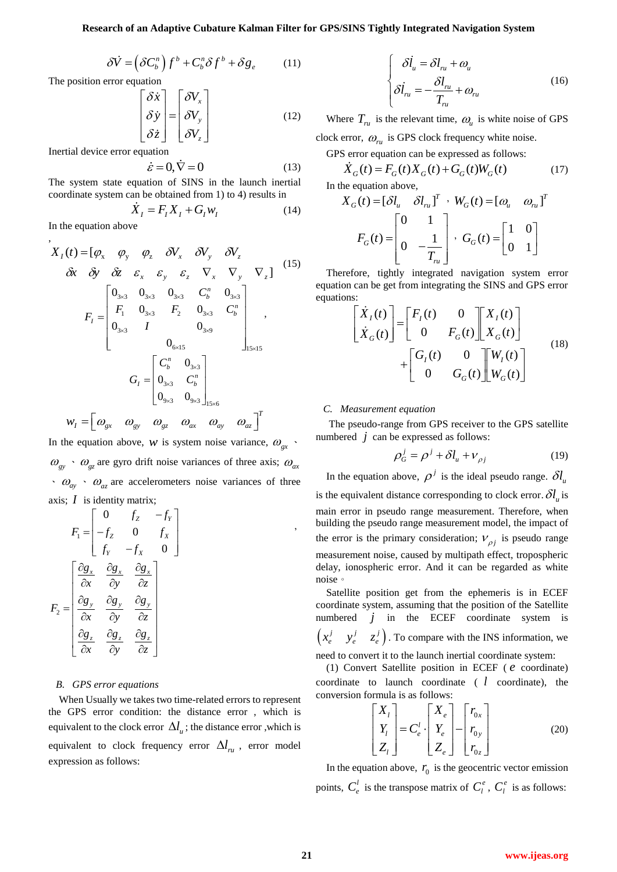$$
\delta \dot{V} = \left( \delta C_b^n \right) f^b + C_b^n \delta f^b + \delta g_e \tag{11}
$$

The position error equation

$$
\begin{bmatrix} \delta \dot{x} \\ \delta \dot{y} \\ \delta \dot{z} \end{bmatrix} = \begin{bmatrix} \delta V_x \\ \delta V_y \\ \delta V_z \end{bmatrix}
$$
 (12)

Inertial device error equation

$$
\dot{\varepsilon} = 0, \dot{\nabla} = 0 \tag{13}
$$

The system state equation of SINS in the launch inertial coordinate system can be obtained from 1) to 4) results in

$$
\dot{X}_I = F_I X_I + G_I w_I \tag{14}
$$

In the equation above

,

The position error equation  
\n
$$
\delta V = (\delta C_6^*) f'' + C_8^* \delta f'' + \delta g,
$$
\n(11)  
\nThe position error equation of SNS in the launch inertial device of OFS  
\nIn the equation above,  
\n
$$
\delta z = 0, \nabla = 0
$$
\n
$$
\frac{\delta z}{\delta V_z}
$$
\n(12)  
\n
$$
\frac{\delta V_x}{\delta V_y} = \begin{bmatrix} \delta V_x \\ \delta V_y \\ \delta V_z \end{bmatrix}
$$
\n(12)  
\n
$$
\frac{\delta V_x}{\delta V_y} = \begin{bmatrix} \delta V_x \\ \delta V_y \\ \delta V_z \end{bmatrix}
$$
\n(13)  
\n
$$
\frac{\delta V_x}{\delta V_y} = \begin{bmatrix} \delta V_x \\ \delta V_y \\ \delta V_z \end{bmatrix}
$$
\n(14)  
\n
$$
\frac{\delta V_x}{\delta V_y} = \begin{bmatrix} \delta V_x \\ \delta V_y \\ \delta V_z \end{bmatrix}
$$
\n(15)  
\n
$$
\frac{\delta V_x}{\delta V_y} = F_x X_y + G_y W_y
$$
\n(16)  
\n
$$
\frac{\delta V_x}{\delta V_y} = F_y X_y + \frac{\delta V_y}{\delta V_y}
$$
\n(17)  
\n
$$
\frac{\delta V_x}{\delta V_y} = \begin{bmatrix} \delta V_x \\ \delta V_x \\ \delta V_y \end{bmatrix}
$$
\n(19)  
\n
$$
\frac{\delta V_x}{\delta V_y} = \begin{bmatrix} \delta V_x \\ \delta V_x \\ \delta V_y \end{bmatrix}
$$
\n(10)  
\n
$$
\frac{\delta V_x}{\delta V_y} = \begin{bmatrix} \delta V_x \\ \delta V_y \\ \delta V_z \end{bmatrix}
$$
\n(11)  
\n
$$
\frac{\delta V_x}{\delta V_y} = \begin{bmatrix} \delta V_x \\ \delta V_y \\ \delta V_z \end{bmatrix}
$$
\n(12)  
\n
$$
\frac{\delta V_x}{\delta V_y} = \begin{bmatrix} \delta V_x \\ \delta V_y \\ \delta V_z \end{bmatrix}
$$
\n(13)  
\n
$$
\frac{\delta V_x}{\delta V_y} = \begin{bmatrix} \delta V_x \\ \delta V_y \\ \delta V_z \end{bmatrix}
$$
\n(15)  
\n
$$
\frac{\delta V_x}{\delta V_y
$$

In the equation above, *w* is system noise variance,  $\omega_{gx}$ .  $\omega_{gy}$   $\sim \omega_{gz}$  are gyro drift noise variances of three axis;  $\omega_{ax}$  $\cdot$   $\omega_{\text{av}}$   $\cdot$   $\omega_{\text{az}}$  are accelerometers noise variances of three axis;  $I$  is identity matrix;

$$
F_1 = \begin{bmatrix} 0 & f_z & -f_y \\ -f_z & 0 & f_x \\ f_y & -f_x & 0 \end{bmatrix}
$$

$$
F_2 = \begin{bmatrix} \frac{\partial g_x}{\partial x} & \frac{\partial g_x}{\partial y} & \frac{\partial g_x}{\partial z} \\ \frac{\partial g_y}{\partial x} & \frac{\partial g_y}{\partial y} & \frac{\partial g_y}{\partial z} \\ \frac{\partial g_z}{\partial x} & \frac{\partial g_z}{\partial y} & \frac{\partial g_z}{\partial z} \end{bmatrix}
$$

### *B. GPS error equations*

When Usually we takes two time-related errors to represent the GPS error condition: the distance error , which is equivalent to the clock error  $\Delta l_{\mu}$ ; the distance error , which is equivalent to clock frequency error  $\Delta l_{ru}$ , error model expression as follows:

$$
\begin{cases}\n\delta \dot{l}_u = \delta l_m + \omega_u \\
\delta \dot{l}_m = -\frac{\delta l_m}{T_m} + \omega_m\n\end{cases}
$$
\n(16)

Where  $T_{ru}$  is the relevant time,  $\omega_u$  is white noise of GPS clock error,  $\omega_{\rm r}$  is GPS clock frequency white noise.

GPS error equation can be expressed as follows:  
\n
$$
\dot{X}_G(t) = F_G(t)X_G(t) + G_G(t)W_G(t)
$$
\n(17)

In the equation above,

$$
X_G(t) = [\delta l_u \quad \delta l_{ru}]^T \quad W_G(t) = [\omega_u \quad \omega_{ru}]^T
$$

$$
F_G(t) = \begin{bmatrix} 0 & 1 \\ 0 & -\frac{1}{T_{ru}} \end{bmatrix}, \ G_G(t) = \begin{bmatrix} 1 & 0 \\ 0 & 1 \end{bmatrix}
$$

Therefore, tightly integrated navigation system error equation can be get from integrating the SINS and GPS error equations:

$$
\begin{bmatrix} \dot{X}_I(t) \\ \dot{X}_G(t) \end{bmatrix} = \begin{bmatrix} F_I(t) & 0 \\ 0 & F_G(t) \end{bmatrix} \begin{bmatrix} X_I(t) \\ X_G(t) \end{bmatrix} + \begin{bmatrix} G_I(t) & 0 \\ 0 & G_G(t) \end{bmatrix} \begin{bmatrix} W_I(t) \\ W_G(t) \end{bmatrix}
$$
(18)

#### *C. Measurement equation*

The pseudo-range from GPS receiver to the GPS satellite numbered  $j$  can be expressed as follows:

$$
\rho_G^j = \rho^j + \delta l_u + \nu_{\rho j} \tag{19}
$$

In the equation above,  $\rho^j$  is the ideal pseudo range.  $\delta l_{\mu}$ is the equivalent distance corresponding to clock error.  $\delta l_u$  is main error in pseudo range measurement. Therefore, when building the pseudo range measurement model, the impact of the error is the primary consideration;  $V_{\rho j}$  is pseudo range measurement noise, caused by multipath effect, tropospheric delay, ionospheric error. And it can be regarded as white noise。

Satellite position get from the ephemeris is in ECEF coordinate system, assuming that the position of the Satellite numbered  $j$  in the ECEF coordinate system is  $\begin{pmatrix} x_e^j & y_e^j & z_e^j \end{pmatrix}$  $x_e^j$   $y_e^j$   $z_e^j$ ). To compare with the INS information, we need to convert it to the launch inertial coordinate system:

(1) Convert Satellite position in ECEF ( *e* coordinate) coordinate to launch coordinate  $(l \text{ coordinate})$ , the conversion formula is as follows:

$$
\begin{bmatrix} X_{l} \\ Y_{l} \\ Z_{l} \end{bmatrix} = C_{e}^{l} \cdot \begin{bmatrix} X_{e} \\ Y_{e} \\ Z_{e} \end{bmatrix} - \begin{bmatrix} r_{0x} \\ r_{0y} \\ r_{0z} \end{bmatrix}
$$
 (20)

In the equation above,  $r_0$  is the geocentric vector emission points,  $C_e^l$  is the transpose matrix of  $C_l^e$ ,  $C_l^e$  is as follows:

,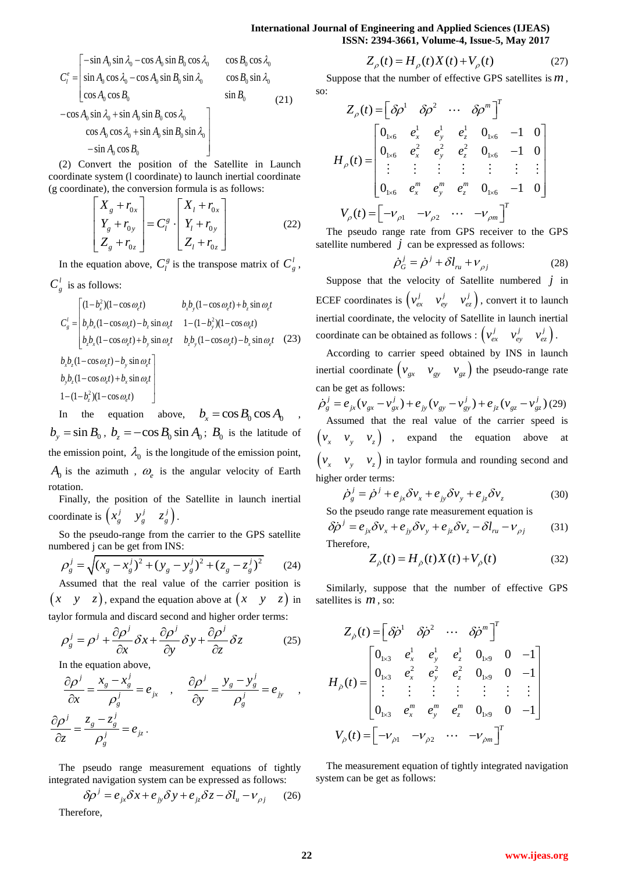## **International Journal of Engineering and Applied Sciences (IJEAS) ISSN: 2394-3661, Volume-4, Issue-5, May 2017**

$$
C_{l}^{e} = \begin{bmatrix} -\sin A_{0} \sin \lambda_{0} - \cos A_{0} \sin B_{0} \cos \lambda_{0} & \cos B_{0} \cos \lambda_{0} \\ \sin A_{0} \cos \lambda_{0} - \cos A_{0} \sin B_{0} \sin \lambda_{0} & \cos B_{0} \sin \lambda_{0} \\ \cos A_{0} \cos B_{0} & \sin B_{0} \\ -\cos A_{0} \sin \lambda_{0} + \sin A_{0} \sin B_{0} \cos \lambda_{0} \\ \cos A_{0} \cos \lambda_{0} + \sin A_{0} \sin B_{0} \sin \lambda_{0} \\ -\sin A_{0} \cos B_{0} \end{bmatrix}
$$
 (21)

(2) Convert the position of the Satellite in Launch coordinate system (l coordinate) to launch inertial coordinate (g coordinate), the conversion formula is as follows:

$$
\begin{bmatrix}\nX_g + r_{0x} \\
Y_g + r_{0y} \\
Z_g + r_{0z}\n\end{bmatrix} = C_l^g \cdot \begin{bmatrix}\nX_l + r_{0x} \\
Y_l + r_{0y} \\
Z_l + r_{0z}\n\end{bmatrix}
$$
\n(22)

In the equation above,  $C_l^g$  is the transpose matrix of  $C_g^l$ ,  $C_g^l$  is as follows:

$$
\frac{d}{ds}
$$
 is as follows:  
\n
$$
C'_{g} = \begin{bmatrix} (1 - b_x^2)(1 - \cos \omega_e t) & b_x b_y (1 - \cos \omega_e t) + b_z \sin \omega_e t \\ b_y b_x (1 - \cos \omega_e t) - b_z \sin \omega_e t & 1 - (1 - b_y^2)(1 - \cos \omega_e t) \\ b_z b_x (1 - \cos \omega_e t) + b_y \sin \omega_e t & b_z b_y (1 - \cos \omega_e t) - b_x \sin \omega_e t & (23) \end{bmatrix}
$$
  
\n
$$
b_x b_z (1 - \cos \omega_e t) - b_y \sin \omega_e t
$$
  
\n
$$
b_y b_z (1 - \cos \omega_e t) + b_x \sin \omega_e t
$$
  
\n
$$
1 - (1 - b_z^2)(1 - \cos \omega_e t)
$$

$$
1-(1-b_z^2)(1-\cos\omega_e t)
$$

In the equation above,  $b_x = \cos B_0 \cos A_0$ ,  $b_y = \sin B_0$ ,  $b_z = -\cos B_0 \sin A_0$ ;  $B_0$  is the latitude of the emission point,  $\lambda_0$  is the longitude of the emission point,  $A_0$  is the azimuth,  $\omega_e$  is the angular velocity of Earth rotation.

Finally, the position of the Satellite in launch inertial coordinate is  $\begin{pmatrix} x_g^j & y_g^j & z_g^j \end{pmatrix}$  $x_g^j$   $y_g^j$   $z_g^j$ .

So the pseudo-range from the carrier to the GPS satellite

numbered j can be get from INS:  
\n
$$
\rho_g^j = \sqrt{(x_g - x_g^j)^2 + (y_g - y_g^j)^2 + (z_g - z_g^j)^2}
$$
\n(24)  
\nAssumed that the real value of the carrier position is

Assumed that the real value of the carrier position is  $(x \ y \ z)$ , expand the equation above at  $(x \ y \ z)$  in

taylor formula and discard second and higher order terms:  
\n
$$
\rho_g^j = \rho^j + \frac{\partial \rho^j}{\partial x} \delta x + \frac{\partial \rho^j}{\partial y} \delta y + \frac{\partial \rho^j}{\partial z} \delta z
$$
\n(25)

In the equation above,

$$
\frac{\partial \rho^j}{\partial x} = \frac{x_g - x_g^j}{\rho_g^j} = e_{j_x} \quad , \quad \frac{\partial \rho^j}{\partial y} = \frac{y_g - y_g^j}{\rho_g^j} = e_{j_y} \quad ,
$$

$$
\frac{\partial \rho^j}{\partial z} = \frac{z_g - z_g^j}{\rho_g^j} = e_{j_z}.
$$

The pseudo range measurement equations of tightly

integrated navigation system can be expressed as follows:  
\n
$$
\delta \rho^j = e_{jx} \delta x + e_{jy} \delta y + e_{jz} \delta z - \delta l_u - v_{\rho j}
$$
 (26)  
\nTherefore.

Suppose that the number of effective GPS satellites is *m* ,

so:

$$
Z_{\rho}(t) = \begin{bmatrix} \delta \rho^{1} & \delta \rho^{2} & \cdots & \delta \rho^{m} \end{bmatrix}^{T}
$$
  
\n
$$
H_{\rho}(t) = \begin{bmatrix} 0_{1\times 6} & e_{x}^{1} & e_{y}^{1} & e_{z}^{1} & 0_{1\times 6} & -1 & 0 \\ 0_{1\times 6} & e_{x}^{2} & e_{y}^{2} & e_{z}^{2} & 0_{1\times 6} & -1 & 0 \\ \vdots & \vdots & \vdots & \vdots & \vdots & \vdots \\ 0_{1\times 6} & e_{x}^{m} & e_{y}^{m} & e_{z}^{m} & 0_{1\times 6} & -1 & 0 \end{bmatrix}
$$
  
\n
$$
V_{\rho}(t) = \begin{bmatrix} -v_{\rho 1} & -v_{\rho 2} & \cdots & -v_{\rho m} \end{bmatrix}^{T}
$$

The pseudo range rate from GPS receiver to the GPS satellite numbered  $j$  can be expressed as follows:

$$
\dot{\rho}_G^j = \dot{\rho}^j + \delta l_{n} + \nu_{\rho j} \tag{28}
$$

Suppose that the velocity of Satellite numbered  $j$  in ECEF coordinates is  $\begin{pmatrix} v_{ex}^j & v_{ey}^j & v_{ez}^j \end{pmatrix}$  $v_{ex}^j - v_{ey}^j - v_{ez}^j$ , convert it to launch inertial coordinate, the velocity of Satellite in launch inertial coordinate can be obtained as follows :  $\begin{pmatrix} v_{ex}^j & v_{ey}^j & v_{ez}^j \end{pmatrix}$  $v_{ex}^j - v_{ey}^j - v_{ez}^j$ .

According to carrier speed obtained by INS in launch inertial coordinate  $\begin{pmatrix} v_{gx} & v_{gy} & v_{gz} \end{pmatrix}$  the pseudo-range rate can be get as follows:  $\int_{\alpha}^{\beta} \rho_{g}^{j} = e_{jx} (v_{gx} - v_{gx}^{j}) + e_{jy} (v_{gy} - v_{gy}^{j}) + e_{jz} (v_{gz} - v_{gz}^{j})$  (29)

Assumed that the real value of the carrier speed is  $(v_x \t v_y \t v_z)$  , expand the equation above at  $(v_x \quad v_y \quad v_z)$  in taylor formula and rounding second and higher order terms:<br> $\dot{\sigma}^j - \dot{\sigma}^j + \sigma^j$ 

r order terms:  
\n
$$
\dot{\rho}_g^j = \dot{\rho}^j + e_{jx}\delta v_x + e_{jy}\delta v_y + e_{jz}\delta v_z
$$
\n(30)

So the pseudo range rate measurement equation is  
\n
$$
\delta \dot{\rho}^j = e_{jk} \delta v_x + e_{jy} \delta v_y + e_{jz} \delta v_z - \delta l_{ru} - v_{\rho j}
$$
\n(31)

Therefore,

The,  

$$
Z_{\dot{\rho}}(t) = H_{\dot{\rho}}(t)X(t) + V_{\dot{\rho}}(t)
$$
(32)

Similarly, suppose that the number of effective GPS satellites is  $m$ , so:

Therefore, *Z t H t X t V t* ( ) ( ) ( ) ( ) (27) 1 2 ( ) *T m Z t* 1 1 1 1 3 1 9 222 1 3 1 9 1 3 1 9 0 0 0 1 0 0 0 1 ( ) 0 0 0 1 *x y z x y z mmm x y z e e e eee H t eee* 1 2 ( ) *T V t <sup>m</sup>* 

The measurement equation of tightly integrated navigation system can be get as follows: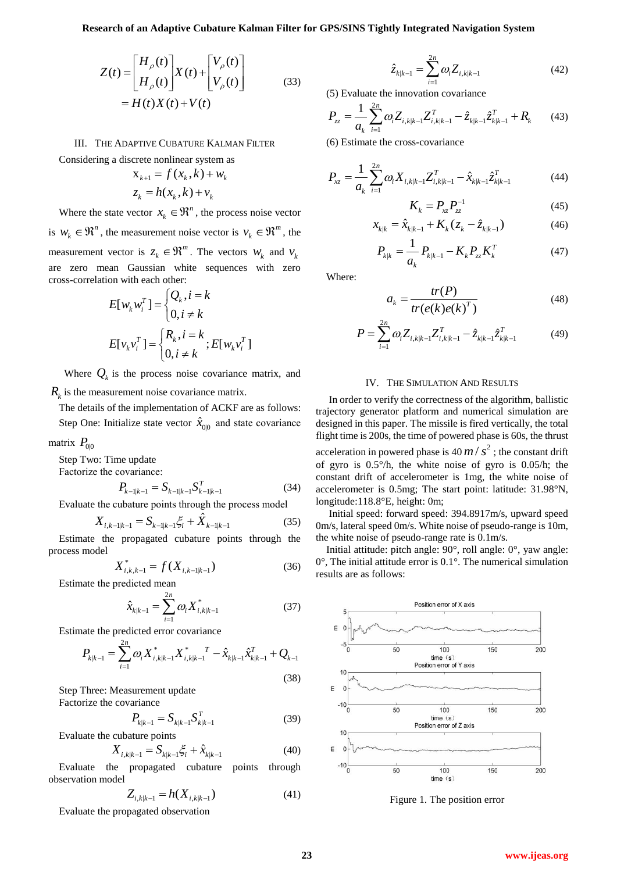$$
Z(t) = \begin{bmatrix} H_{\rho}(t) \\ H_{\dot{\rho}}(t) \end{bmatrix} X(t) + \begin{bmatrix} V_{\rho}(t) \\ V_{\dot{\rho}}(t) \end{bmatrix}
$$
  
=  $H(t)X(t) + V(t)$  (33)

III. THE ADAPTIVE CUBATURE KALMAN FILTER

Considering a discrete nonlinear system as  
\n
$$
x_{k+1} = f(x_k, k) + w_k
$$
\n
$$
z_k = h(x_k, k) + v_k
$$

Where the state vector  $x_k \in \mathbb{R}^n$  $x_k \in \mathbb{R}^n$ , the process noise vector

is  $W_k \in \mathbb{R}^n$ , the measurement noise vector is  $V_k \in \mathbb{R}^m$  $v_k \in \mathfrak{R}^m$ , the measurement vector is  $z_k \in \Re^m$  $z_k \in \mathbb{R}^m$ . The vectors  $w_k$  and  $v_k$ are zero mean Gaussian white sequences with zero

cross-correlation with each other:  
\n
$$
E[w_k w_i^T] = \begin{cases} Q_k, i = k \\ 0, i \neq k \end{cases}
$$
\n
$$
E[v_k v_i^T] = \begin{cases} R_k, i = k \\ 0, i \neq k \end{cases}; E[w_k v_i^T]
$$

Where  $Q_k$  is the process noise covariance matrix, and  $R_k$  is the measurement noise covariance matrix.

The details of the implementation of ACKF are as follows: Step One: Initialize state vector  $\hat{x}_{00}$  and state covariance

matrix  $P_{0|0}$ 

Step Two: Time update

Factorize the covariance:

$$
P_{k-1|k-1} = S_{k-1|k-1} S_{k-1|k-1}^T
$$
 (34)

Evaluate the cubature points through the process model  

$$
X_{i,k-1|k-1} = S_{k-1|k-1} \xi_i + \hat{X}_{k-1|k-1}
$$
(35)

Estimate the propagated cubature points through the process model

$$
X_{i,k,k-1}^* = f(X_{i,k-1|k-1})
$$
\n(36)

Estimate the predicted mean

$$
\hat{x}_{k|k-1} = \sum_{i=1}^{2n} \omega_i X_{i,k|k-1}^* \tag{37}
$$

Estimate the predicted error covariance  
\n
$$
P_{k|k-1} = \sum_{i=1}^{2n} \omega_i X_{i,k|k-1}^* X_{i,k|k-1}^* T - \hat{x}_{k|k-1} \hat{x}_{k|k-1}^T + Q_{k-1}
$$
\n(38)

Step Three: Measurement update Factorize the covariance

$$
P_{k|k-1} = S_{k|k-1} S_{k|k-1}^T
$$
 (39)

Evaluate the cubature points

$$
X_{i,k|k-1} = S_{k|k-1} \xi_i + \hat{x}_{k|k-1}
$$
 (40)

Evaluate the propagated cubature points through observation model

$$
Z_{i,k|k-1} = h(X_{i,k|k-1})
$$
\n(41)

$$
\hat{z}_{k|k-1} = \sum_{i=1}^{2n} \omega_i Z_{i,k|k-1}
$$
 (42)

(5) Evaluate the innovation covariance  
\n
$$
P_{zz} = \frac{1}{a_k} \sum_{i=1}^{2n} \omega_i Z_{i,k|k-1} Z_{i,k|k-1}^T - \hat{z}_{k|k-1} \hat{z}_{k|k-1}^T + R_k
$$
\n(43)

(6) Estimate the cross-covariance

$$
P_{xz} = \frac{1}{a_k} \sum_{i=1}^{2n} \omega_i X_{i,k|k-1} Z_{i,k|k-1}^T - \hat{x}_{k|k-1} \hat{z}_{k|k-1}^T
$$
 (44)

$$
K_k = P_{xz} P_{zz}^{-1} \tag{45}
$$

$$
x_{k|k} = \hat{x}_{k|k-1} + K_k (z_k - \hat{z}_{k|k-1})
$$
 (46)

$$
P_{k|k} = \frac{1}{a_k} P_{k|k-1} - K_k P_{zz} K_k^T
$$
 (47)

Where:

$$
a_k = \frac{tr(P)}{tr(e(k)e(k)^T)}
$$
(48)

$$
P = \sum_{i=1}^{2n} \omega_i Z_{i,k|k-1} Z_{i,k|k-1}^T - \hat{z}_{k|k-1} \hat{z}_{k|k-1}^T
$$
 (49)

## IV. THE SIMULATION AND RESULTS

In order to verify the correctness of the algorithm, ballistic trajectory generator platform and numerical simulation are designed in this paper. The missile is fired vertically, the total flight time is 200s, the time of powered phase is 60s, the thrust acceleration in powered phase is  $40 \, m / s^2$ ; the constant drift of gyro is 0.5°/h, the white noise of gyro is 0.05/h; the constant drift of accelerometer is 1mg, the white noise of accelerometer is 0.5mg; The start point: latitude: 31.98°N, longitude:118.8°E, height: 0m;

Initial speed: forward speed: 394.8917m/s, upward speed 0m/s, lateral speed 0m/s. White noise of pseudo-range is 10m, the white noise of pseudo-range rate is 0.1m/s.

Initial attitude: pitch angle: 90°, roll angle: 0°, yaw angle: 0°, The initial attitude error is 0.1°. The numerical simulation results are as follows:



Figure 1. The position error